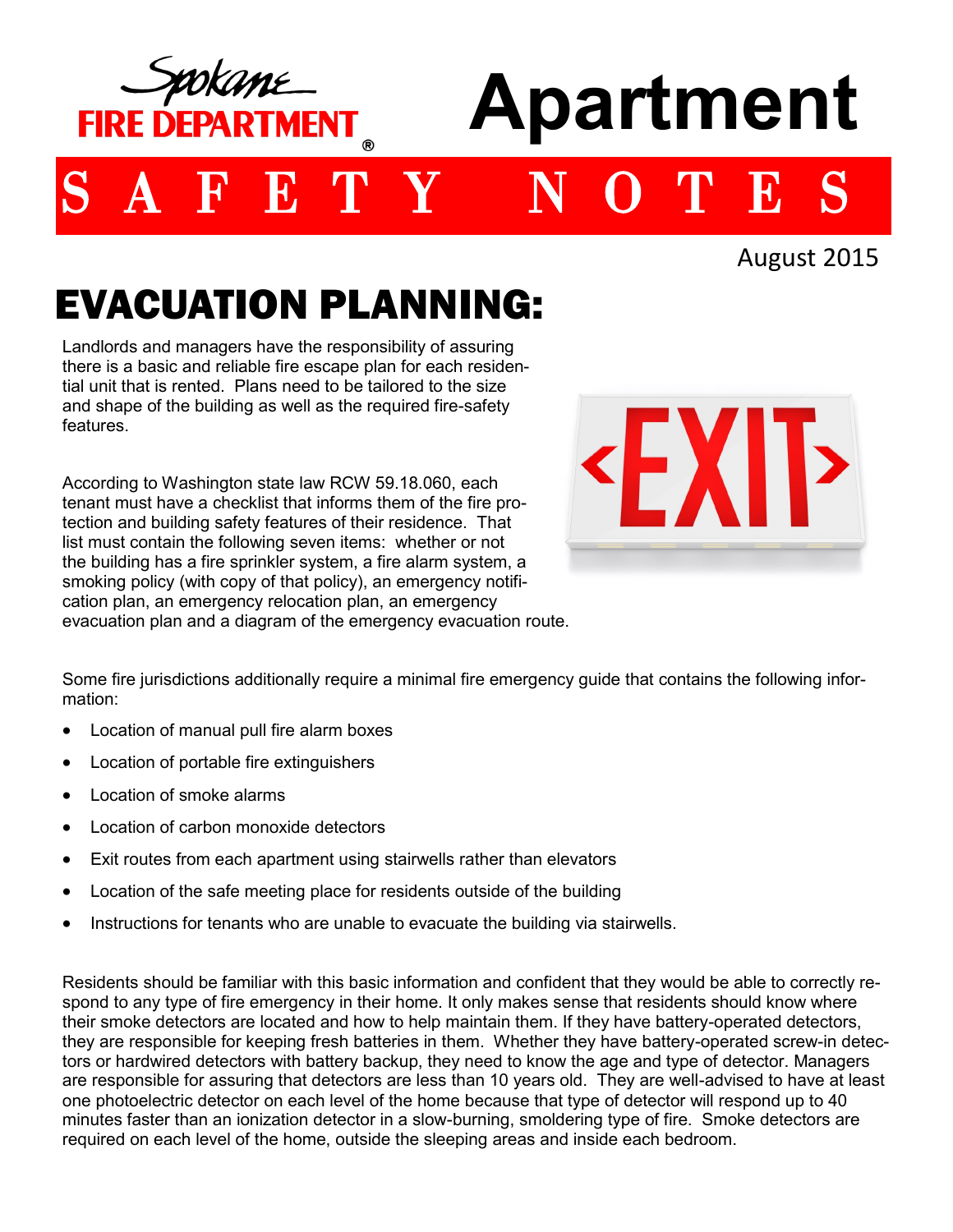

August 2015

## EVACUATION PLANNING:

Landlords and managers have the responsibility of assuring there is a basic and reliable fire escape plan for each residential unit that is rented. Plans need to be tailored to the size and shape of the building as well as the required fire-safety features.

According to Washington state law RCW 59.18.060, each tenant must have a checklist that informs them of the fire protection and building safety features of their residence. That list must contain the following seven items: whether or not the building has a fire sprinkler system, a fire alarm system, a smoking policy (with copy of that policy), an emergency notification plan, an emergency relocation plan, an emergency evacuation plan and a diagram of the emergency evacuation route.



Some fire jurisdictions additionally require a minimal fire emergency guide that contains the following information:

- Location of manual pull fire alarm boxes
- Location of portable fire extinguishers
- Location of smoke alarms
- Location of carbon monoxide detectors
- Exit routes from each apartment using stairwells rather than elevators
- Location of the safe meeting place for residents outside of the building
- Instructions for tenants who are unable to evacuate the building via stairwells.

Residents should be familiar with this basic information and confident that they would be able to correctly respond to any type of fire emergency in their home. It only makes sense that residents should know where their smoke detectors are located and how to help maintain them. If they have battery-operated detectors, they are responsible for keeping fresh batteries in them. Whether they have battery-operated screw-in detectors or hardwired detectors with battery backup, they need to know the age and type of detector. Managers are responsible for assuring that detectors are less than 10 years old. They are well-advised to have at least one photoelectric detector on each level of the home because that type of detector will respond up to 40 minutes faster than an ionization detector in a slow-burning, smoldering type of fire. Smoke detectors are required on each level of the home, outside the sleeping areas and inside each bedroom.